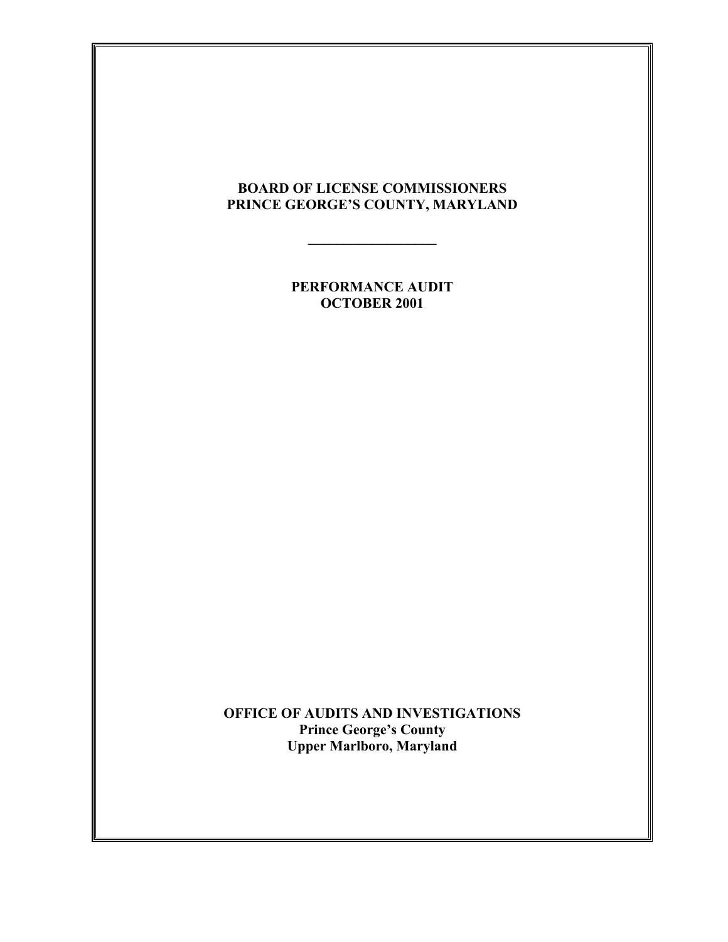# **BOARD OF LICENSE COMMISSIONERS PRINCE GEORGE'S COUNTY, MARYLAND**

**\_\_\_\_\_\_\_\_\_\_\_\_\_\_\_\_\_\_**

**PERFORMANCE AUDIT OCTOBER 2001**

**OFFICE OF AUDITS AND INVESTIGATIONS Prince George's County Upper Marlboro, Maryland**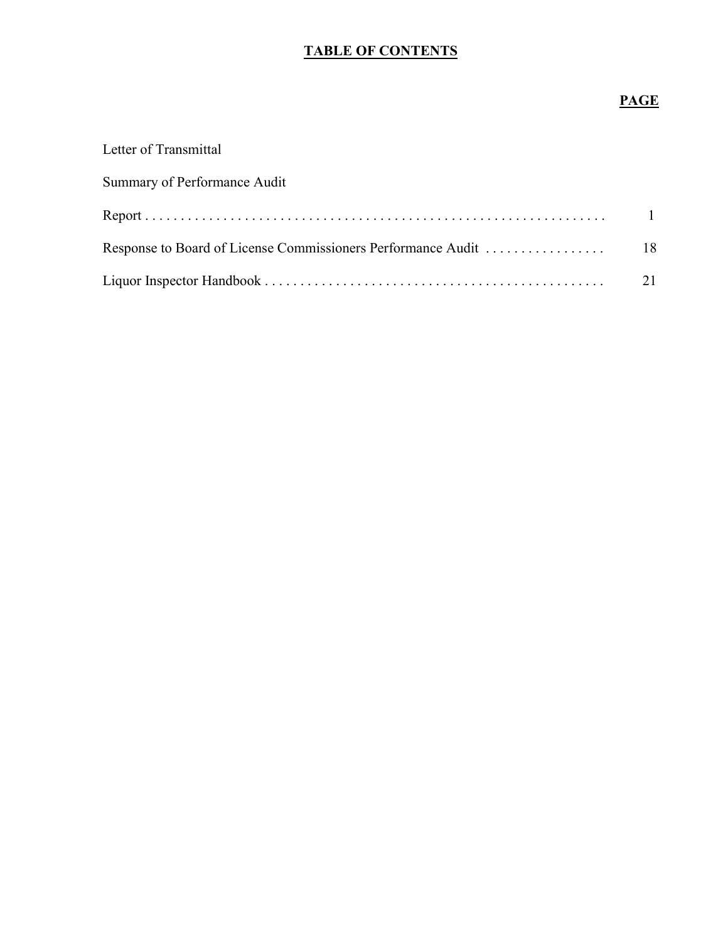# **TABLE OF CONTENTS**

# **PAGE**

| Letter of Transmittal                                        |               |
|--------------------------------------------------------------|---------------|
| Summary of Performance Audit                                 |               |
|                                                              |               |
| Response to Board of License Commissioners Performance Audit | <sup>18</sup> |
|                                                              |               |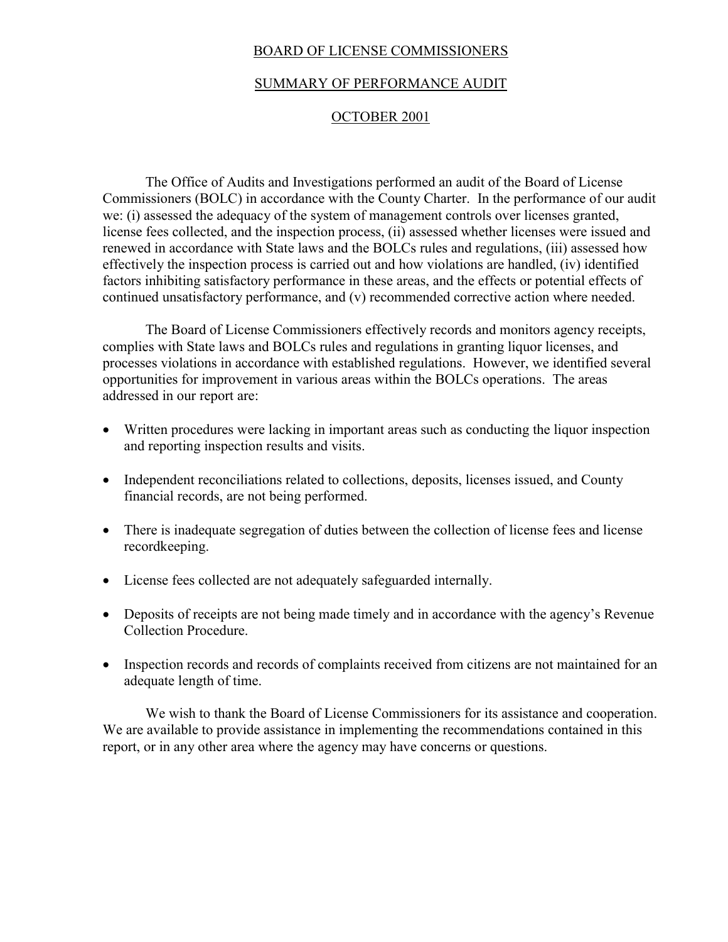### BOARD OF LICENSE COMMISSIONERS

### SUMMARY OF PERFORMANCE AUDIT

#### OCTOBER 2001

The Office of Audits and Investigations performed an audit of the Board of License Commissioners (BOLC) in accordance with the County Charter. In the performance of our audit we: (i) assessed the adequacy of the system of management controls over licenses granted, license fees collected, and the inspection process, (ii) assessed whether licenses were issued and renewed in accordance with State laws and the BOLCs rules and regulations, (iii) assessed how effectively the inspection process is carried out and how violations are handled, (iv) identified factors inhibiting satisfactory performance in these areas, and the effects or potential effects of continued unsatisfactory performance, and (v) recommended corrective action where needed.

The Board of License Commissioners effectively records and monitors agency receipts, complies with State laws and BOLCs rules and regulations in granting liquor licenses, and processes violations in accordance with established regulations. However, we identified several opportunities for improvement in various areas within the BOLCs operations. The areas addressed in our report are:

- Written procedures were lacking in important areas such as conducting the liquor inspection and reporting inspection results and visits.
- Independent reconciliations related to collections, deposits, licenses issued, and County financial records, are not being performed.
- There is inadequate segregation of duties between the collection of license fees and license recordkeeping.
- License fees collected are not adequately safeguarded internally.
- Deposits of receipts are not being made timely and in accordance with the agency's Revenue Collection Procedure.
- Inspection records and records of complaints received from citizens are not maintained for an adequate length of time.

We wish to thank the Board of License Commissioners for its assistance and cooperation. We are available to provide assistance in implementing the recommendations contained in this report, or in any other area where the agency may have concerns or questions.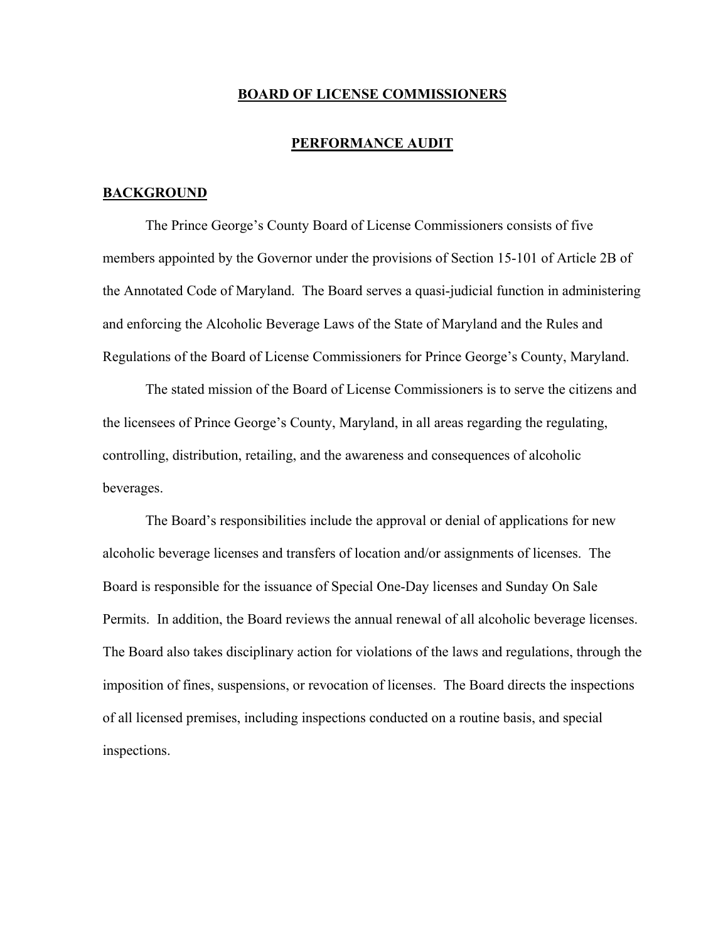#### **BOARD OF LICENSE COMMISSIONERS**

#### **PERFORMANCE AUDIT**

#### **BACKGROUND**

The Prince George's County Board of License Commissioners consists of five members appointed by the Governor under the provisions of Section 15-101 of Article 2B of the Annotated Code of Maryland. The Board serves a quasi-judicial function in administering and enforcing the Alcoholic Beverage Laws of the State of Maryland and the Rules and Regulations of the Board of License Commissioners for Prince George's County, Maryland.

The stated mission of the Board of License Commissioners is to serve the citizens and the licensees of Prince George's County, Maryland, in all areas regarding the regulating, controlling, distribution, retailing, and the awareness and consequences of alcoholic beverages.

The Board's responsibilities include the approval or denial of applications for new alcoholic beverage licenses and transfers of location and/or assignments of licenses. The Board is responsible for the issuance of Special One-Day licenses and Sunday On Sale Permits. In addition, the Board reviews the annual renewal of all alcoholic beverage licenses. The Board also takes disciplinary action for violations of the laws and regulations, through the imposition of fines, suspensions, or revocation of licenses. The Board directs the inspections of all licensed premises, including inspections conducted on a routine basis, and special inspections.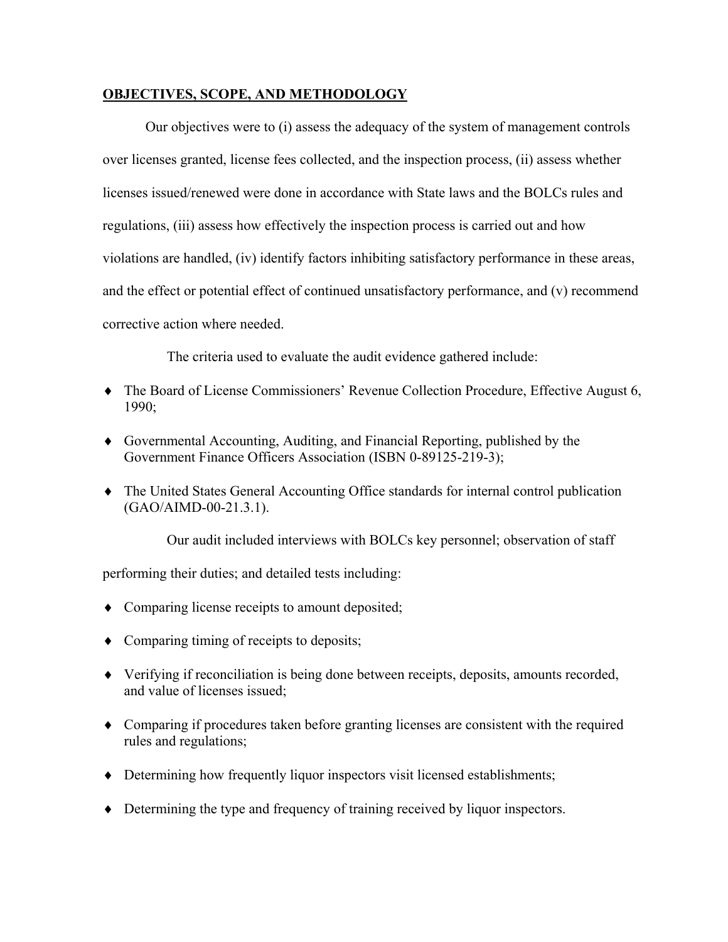### **OBJECTIVES, SCOPE, AND METHODOLOGY**

Our objectives were to (i) assess the adequacy of the system of management controls over licenses granted, license fees collected, and the inspection process, (ii) assess whether licenses issued/renewed were done in accordance with State laws and the BOLCs rules and regulations, (iii) assess how effectively the inspection process is carried out and how violations are handled, (iv) identify factors inhibiting satisfactory performance in these areas, and the effect or potential effect of continued unsatisfactory performance, and (v) recommend corrective action where needed.

The criteria used to evaluate the audit evidence gathered include:

- ♦ The Board of License Commissioners' Revenue Collection Procedure, Effective August 6, 1990;
- ♦ Governmental Accounting, Auditing, and Financial Reporting, published by the Government Finance Officers Association (ISBN 0-89125-219-3);
- ♦ The United States General Accounting Office standards for internal control publication (GAO/AIMD-00-21.3.1).

Our audit included interviews with BOLCs key personnel; observation of staff

performing their duties; and detailed tests including:

- ♦ Comparing license receipts to amount deposited;
- ♦ Comparing timing of receipts to deposits;
- ♦ Verifying if reconciliation is being done between receipts, deposits, amounts recorded, and value of licenses issued;
- ♦ Comparing if procedures taken before granting licenses are consistent with the required rules and regulations;
- ♦ Determining how frequently liquor inspectors visit licensed establishments;
- ♦ Determining the type and frequency of training received by liquor inspectors.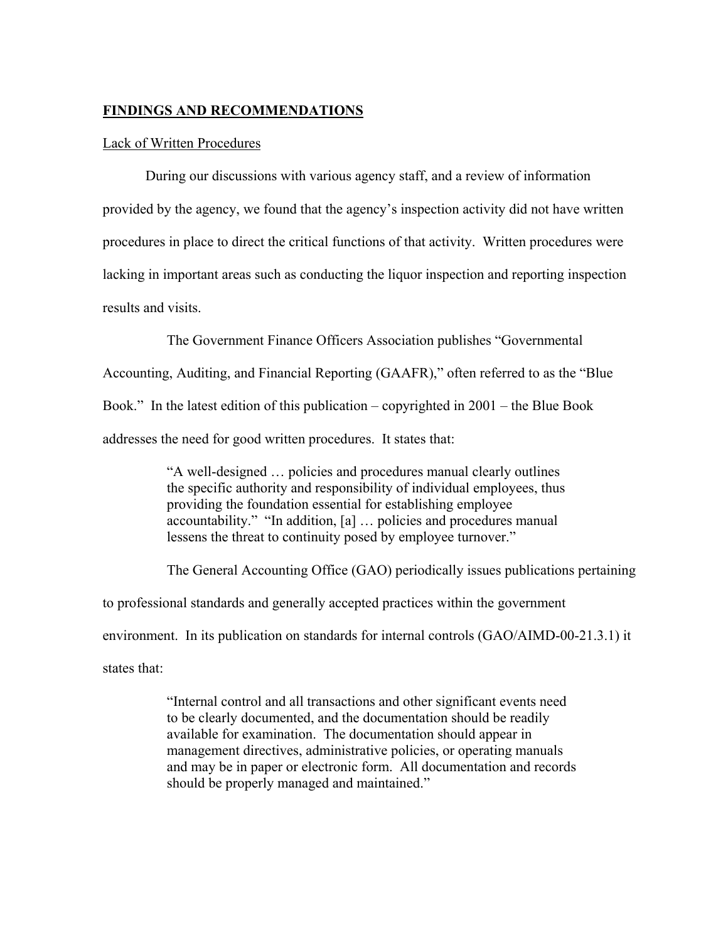#### **FINDINGS AND RECOMMENDATIONS**

#### Lack of Written Procedures

During our discussions with various agency staff, and a review of information provided by the agency, we found that the agency's inspection activity did not have written procedures in place to direct the critical functions of that activity. Written procedures were lacking in important areas such as conducting the liquor inspection and reporting inspection results and visits.

The Government Finance Officers Association publishes "Governmental Accounting, Auditing, and Financial Reporting (GAAFR)," often referred to as the "Blue Book." In the latest edition of this publication – copyrighted in 2001 – the Blue Book addresses the need for good written procedures. It states that:

> "A well-designed … policies and procedures manual clearly outlines the specific authority and responsibility of individual employees, thus providing the foundation essential for establishing employee accountability." "In addition, [a] … policies and procedures manual lessens the threat to continuity posed by employee turnover."

The General Accounting Office (GAO) periodically issues publications pertaining

to professional standards and generally accepted practices within the government

environment. In its publication on standards for internal controls (GAO/AIMD-00-21.3.1) it

states that:

"Internal control and all transactions and other significant events need to be clearly documented, and the documentation should be readily available for examination. The documentation should appear in management directives, administrative policies, or operating manuals and may be in paper or electronic form. All documentation and records should be properly managed and maintained."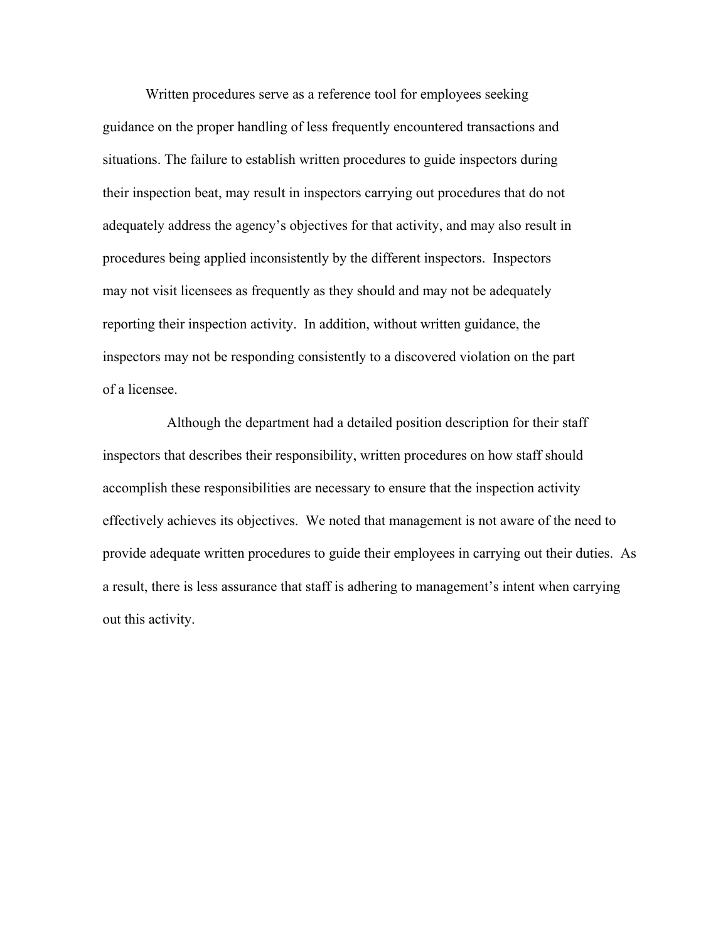Written procedures serve as a reference tool for employees seeking guidance on the proper handling of less frequently encountered transactions and situations. The failure to establish written procedures to guide inspectors during their inspection beat, may result in inspectors carrying out procedures that do not adequately address the agency's objectives for that activity, and may also result in procedures being applied inconsistently by the different inspectors. Inspectors may not visit licensees as frequently as they should and may not be adequately reporting their inspection activity. In addition, without written guidance, the inspectors may not be responding consistently to a discovered violation on the part of a licensee.

Although the department had a detailed position description for their staff inspectors that describes their responsibility, written procedures on how staff should accomplish these responsibilities are necessary to ensure that the inspection activity effectively achieves its objectives. We noted that management is not aware of the need to provide adequate written procedures to guide their employees in carrying out their duties. As a result, there is less assurance that staff is adhering to management's intent when carrying out this activity.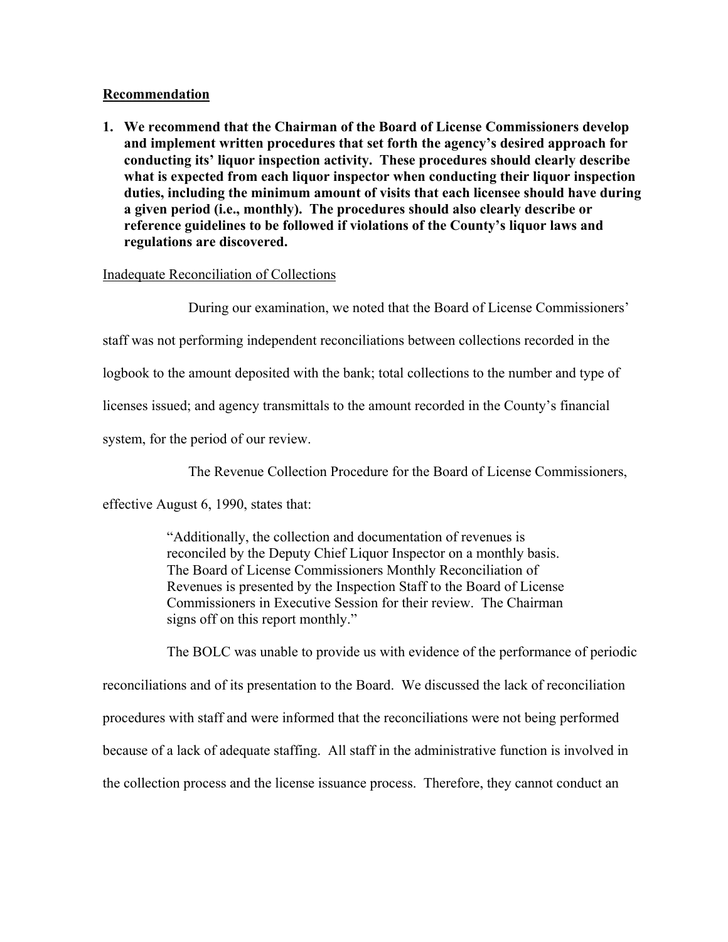### **Recommendation**

**1. We recommend that the Chairman of the Board of License Commissioners develop and implement written procedures that set forth the agency's desired approach for conducting its' liquor inspection activity. These procedures should clearly describe what is expected from each liquor inspector when conducting their liquor inspection duties, including the minimum amount of visits that each licensee should have during a given period (i.e., monthly). The procedures should also clearly describe or reference guidelines to be followed if violations of the County's liquor laws and regulations are discovered.**

### Inadequate Reconciliation of Collections

During our examination, we noted that the Board of License Commissioners'

staff was not performing independent reconciliations between collections recorded in the

logbook to the amount deposited with the bank; total collections to the number and type of

licenses issued; and agency transmittals to the amount recorded in the County's financial

system, for the period of our review.

The Revenue Collection Procedure for the Board of License Commissioners,

effective August 6, 1990, states that:

"Additionally, the collection and documentation of revenues is reconciled by the Deputy Chief Liquor Inspector on a monthly basis. The Board of License Commissioners Monthly Reconciliation of Revenues is presented by the Inspection Staff to the Board of License Commissioners in Executive Session for their review. The Chairman signs off on this report monthly."

The BOLC was unable to provide us with evidence of the performance of periodic reconciliations and of its presentation to the Board. We discussed the lack of reconciliation procedures with staff and were informed that the reconciliations were not being performed because of a lack of adequate staffing. All staff in the administrative function is involved in the collection process and the license issuance process. Therefore, they cannot conduct an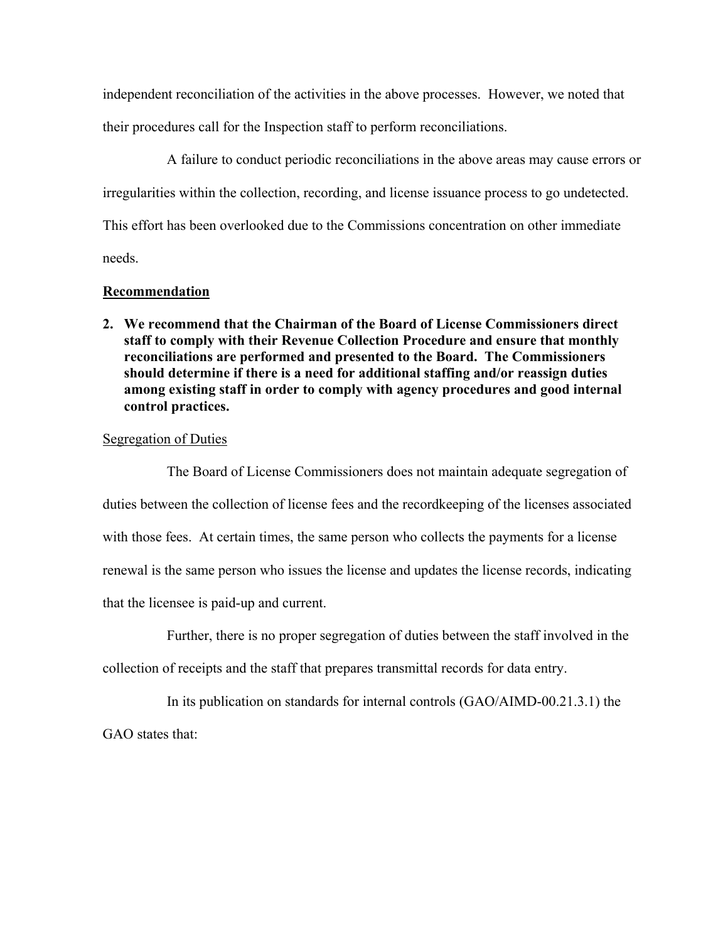independent reconciliation of the activities in the above processes. However, we noted that their procedures call for the Inspection staff to perform reconciliations.

A failure to conduct periodic reconciliations in the above areas may cause errors or irregularities within the collection, recording, and license issuance process to go undetected. This effort has been overlooked due to the Commissions concentration on other immediate needs.

### **Recommendation**

**2. We recommend that the Chairman of the Board of License Commissioners direct staff to comply with their Revenue Collection Procedure and ensure that monthly reconciliations are performed and presented to the Board. The Commissioners should determine if there is a need for additional staffing and/or reassign duties among existing staff in order to comply with agency procedures and good internal control practices.**

### Segregation of Duties

The Board of License Commissioners does not maintain adequate segregation of duties between the collection of license fees and the recordkeeping of the licenses associated with those fees. At certain times, the same person who collects the payments for a license renewal is the same person who issues the license and updates the license records, indicating that the licensee is paid-up and current.

Further, there is no proper segregation of duties between the staff involved in the

collection of receipts and the staff that prepares transmittal records for data entry.

In its publication on standards for internal controls (GAO/AIMD-00.21.3.1) the

GAO states that: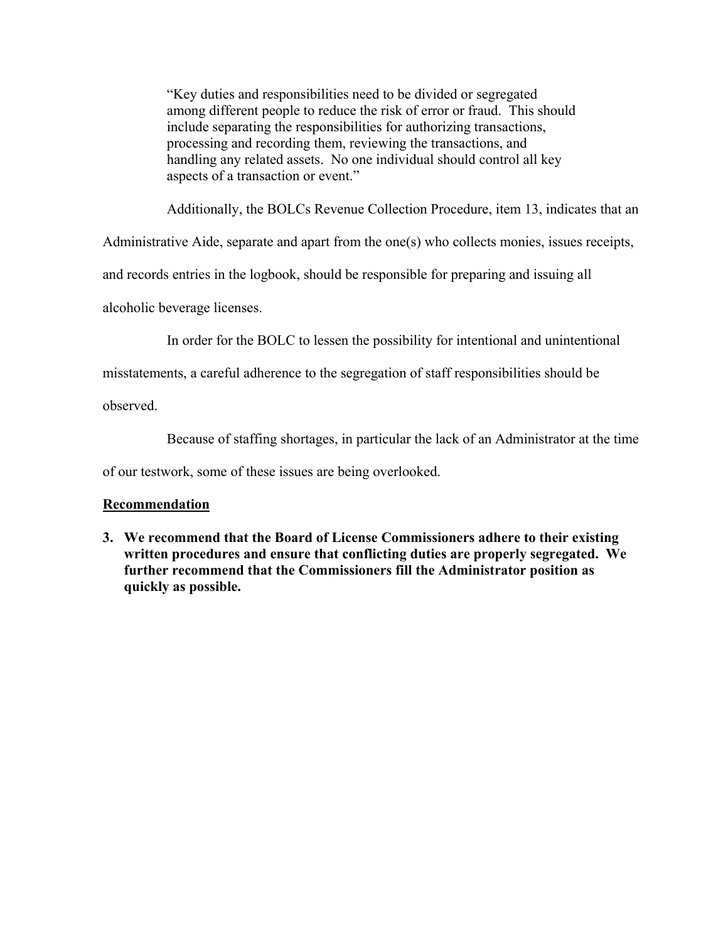"Key duties and responsibilities need to be divided or segregated among different people to reduce the risk of error or fraud. This should include separating the responsibilities for authorizing transactions, processing and recording them, reviewing the transactions, and handling any related assets. No one individual should control all key aspects of a transaction or event."

Additionally, the BOLCs Revenue Collection Procedure, item 13, indicates that an

Administrative Aide, separate and apart from the one(s) who collects monies, issues receipts,

and records entries in the logbook, should be responsible for preparing and issuing all

alcoholic beverage licenses.

In order for the BOLC to lessen the possibility for intentional and unintentional

misstatements, a careful adherence to the segregation of staff responsibilities should be

observed.

Because of staffing shortages, in particular the lack of an Administrator at the time

of our testwork, some of these issues are being overlooked.

### **Recommendation**

**3. We recommend that the Board of License Commissioners adhere to their existing written procedures and ensure that conflicting duties are properly segregated. We further recommend that the Commissioners fill the Administrator position as quickly as possible.**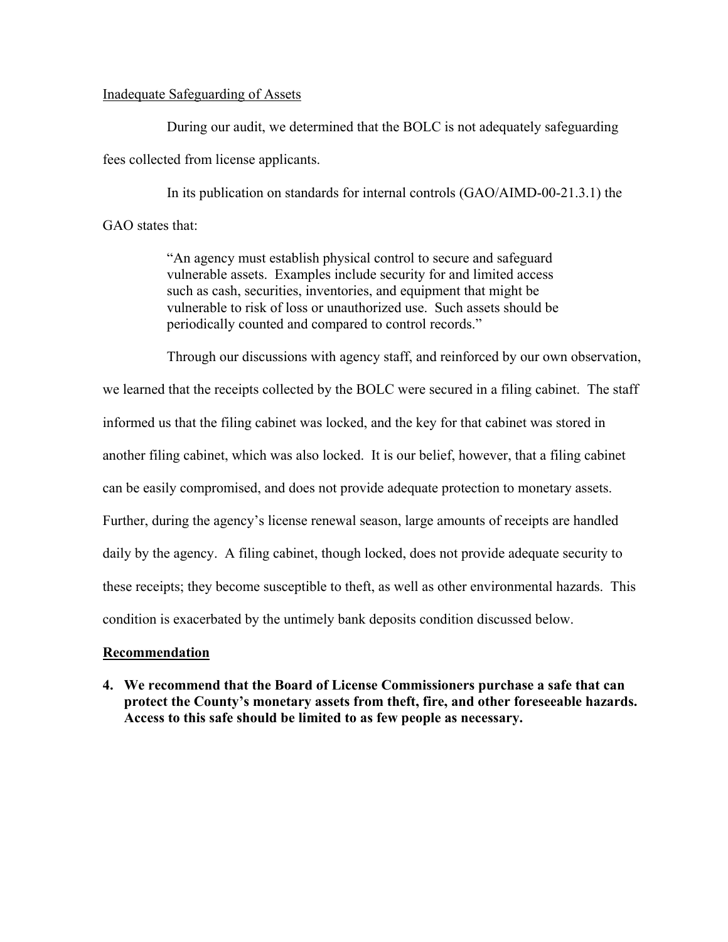#### Inadequate Safeguarding of Assets

During our audit, we determined that the BOLC is not adequately safeguarding fees collected from license applicants.

In its publication on standards for internal controls (GAO/AIMD-00-21.3.1) the GAO states that:

> "An agency must establish physical control to secure and safeguard vulnerable assets. Examples include security for and limited access such as cash, securities, inventories, and equipment that might be vulnerable to risk of loss or unauthorized use. Such assets should be periodically counted and compared to control records."

Through our discussions with agency staff, and reinforced by our own observation,

we learned that the receipts collected by the BOLC were secured in a filing cabinet. The staff informed us that the filing cabinet was locked, and the key for that cabinet was stored in another filing cabinet, which was also locked. It is our belief, however, that a filing cabinet can be easily compromised, and does not provide adequate protection to monetary assets. Further, during the agency's license renewal season, large amounts of receipts are handled daily by the agency. A filing cabinet, though locked, does not provide adequate security to these receipts; they become susceptible to theft, as well as other environmental hazards. This condition is exacerbated by the untimely bank deposits condition discussed below.

### **Recommendation**

**4. We recommend that the Board of License Commissioners purchase a safe that can protect the County's monetary assets from theft, fire, and other foreseeable hazards. Access to this safe should be limited to as few people as necessary.**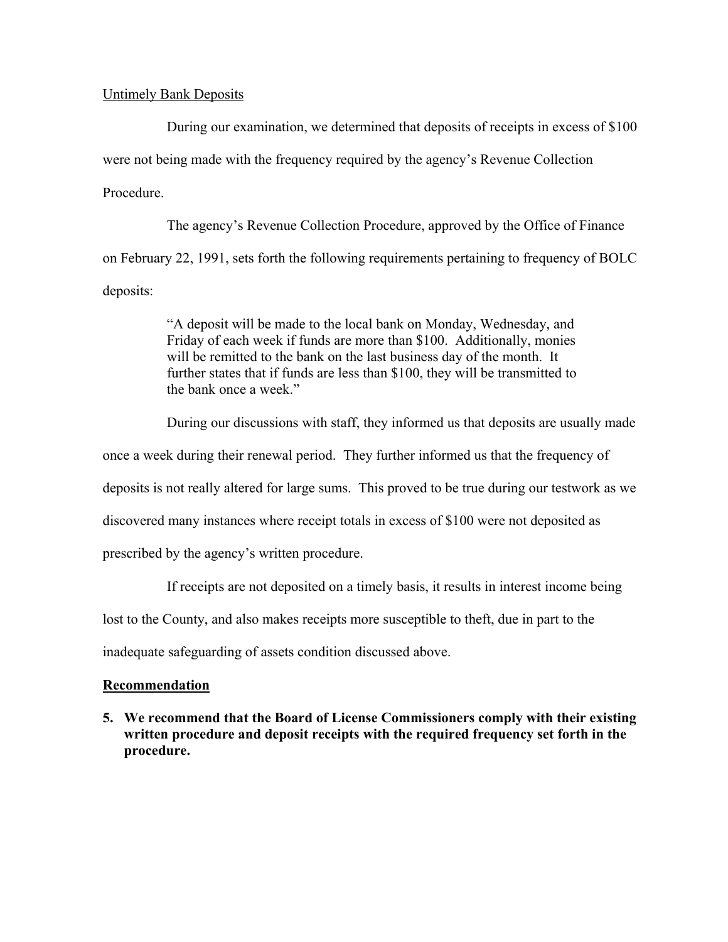#### Untimely Bank Deposits

During our examination, we determined that deposits of receipts in excess of \$100 were not being made with the frequency required by the agency's Revenue Collection Procedure.

The agency's Revenue Collection Procedure, approved by the Office of Finance on February 22, 1991, sets forth the following requirements pertaining to frequency of BOLC deposits:

> "A deposit will be made to the local bank on Monday, Wednesday, and Friday of each week if funds are more than \$100. Additionally, monies will be remitted to the bank on the last business day of the month. It further states that if funds are less than \$100, they will be transmitted to the bank once a week."

During our discussions with staff, they informed us that deposits are usually made

once a week during their renewal period. They further informed us that the frequency of

deposits is not really altered for large sums. This proved to be true during our testwork as we

discovered many instances where receipt totals in excess of \$100 were not deposited as

prescribed by the agency's written procedure.

If receipts are not deposited on a timely basis, it results in interest income being

lost to the County, and also makes receipts more susceptible to theft, due in part to the

inadequate safeguarding of assets condition discussed above.

### **Recommendation**

**5. We recommend that the Board of License Commissioners comply with their existing written procedure and deposit receipts with the required frequency set forth in the procedure.**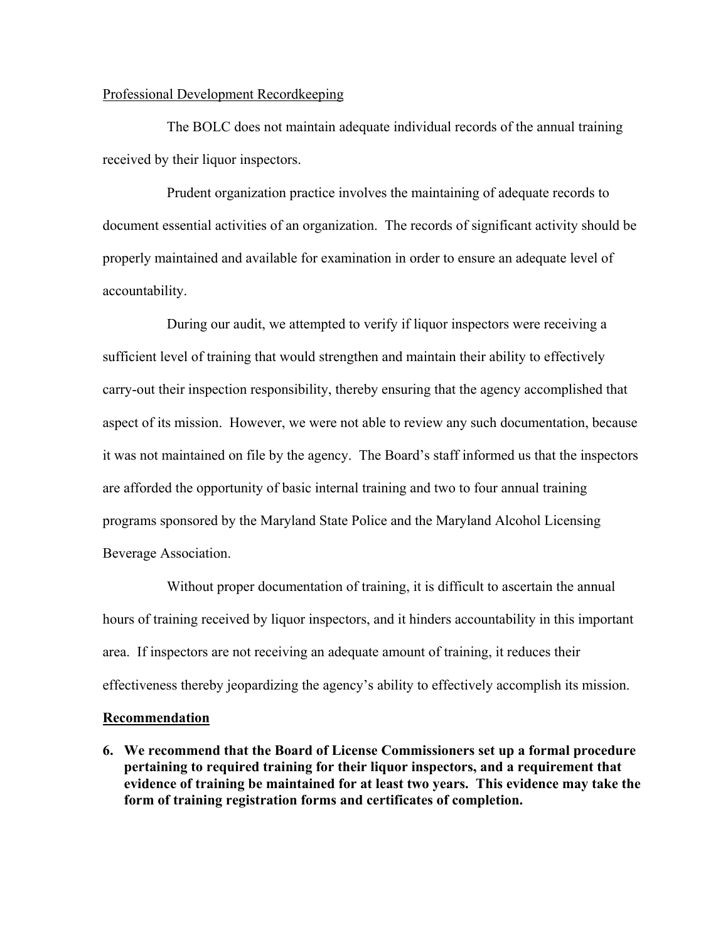#### Professional Development Recordkeeping

The BOLC does not maintain adequate individual records of the annual training received by their liquor inspectors.

Prudent organization practice involves the maintaining of adequate records to document essential activities of an organization. The records of significant activity should be properly maintained and available for examination in order to ensure an adequate level of accountability.

During our audit, we attempted to verify if liquor inspectors were receiving a sufficient level of training that would strengthen and maintain their ability to effectively carry-out their inspection responsibility, thereby ensuring that the agency accomplished that aspect of its mission. However, we were not able to review any such documentation, because it was not maintained on file by the agency. The Board's staff informed us that the inspectors are afforded the opportunity of basic internal training and two to four annual training programs sponsored by the Maryland State Police and the Maryland Alcohol Licensing Beverage Association.

Without proper documentation of training, it is difficult to ascertain the annual hours of training received by liquor inspectors, and it hinders accountability in this important area. If inspectors are not receiving an adequate amount of training, it reduces their effectiveness thereby jeopardizing the agency's ability to effectively accomplish its mission.

#### **Recommendation**

**6. We recommend that the Board of License Commissioners set up a formal procedure pertaining to required training for their liquor inspectors, and a requirement that evidence of training be maintained for at least two years. This evidence may take the form of training registration forms and certificates of completion.**